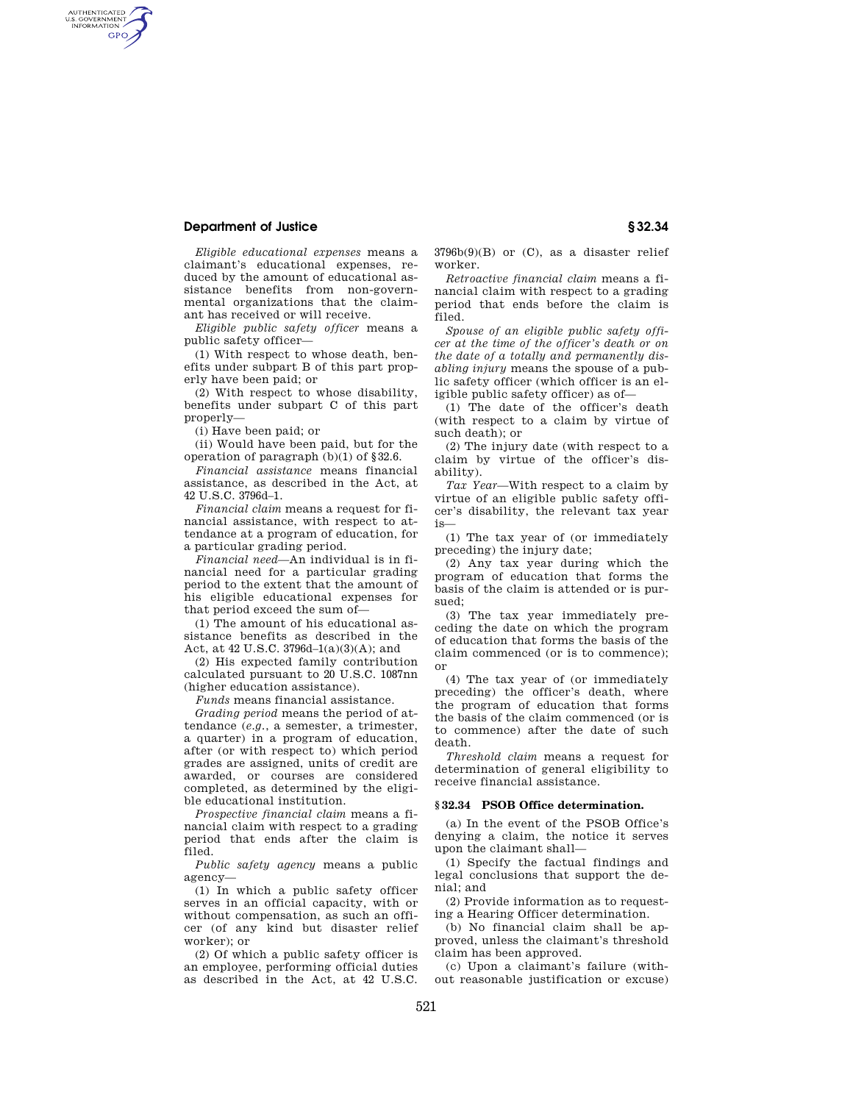## **Department of Justice § 32.34**

AUTHENTICATED<br>U.S. GOVERNMENT<br>INFORMATION GPO

> *Eligible educational expenses* means a claimant's educational expenses, reduced by the amount of educational assistance benefits from non-governmental organizations that the claimant has received or will receive.

> *Eligible public safety officer* means a public safety officer—

> (1) With respect to whose death, benefits under subpart B of this part properly have been paid; or

> (2) With respect to whose disability, benefits under subpart C of this part properly—

(i) Have been paid; or

(ii) Would have been paid, but for the operation of paragraph (b)(1) of §32.6.

*Financial assistance* means financial assistance, as described in the Act, at 42 U.S.C. 3796d–1.

*Financial claim* means a request for financial assistance, with respect to attendance at a program of education, for a particular grading period.

*Financial need*—An individual is in financial need for a particular grading period to the extent that the amount of his eligible educational expenses for that period exceed the sum of—

(1) The amount of his educational assistance benefits as described in the Act, at 42 U.S.C. 3796d–1(a)(3)(A); and

(2) His expected family contribution calculated pursuant to 20 U.S.C. 1087nn (higher education assistance).

*Funds* means financial assistance.

*Grading period* means the period of attendance (*e.g.*, a semester, a trimester, a quarter) in a program of education, after (or with respect to) which period grades are assigned, units of credit are awarded, or courses are considered completed, as determined by the eligible educational institution.

*Prospective financial claim* means a financial claim with respect to a grading period that ends after the claim is filed.

*Public safety agency* means a public agency—

(1) In which a public safety officer serves in an official capacity, with or without compensation, as such an officer (of any kind but disaster relief worker); or

(2) Of which a public safety officer is an employee, performing official duties as described in the Act, at 42 U.S.C.  $3796b(9)(B)$  or  $(C)$ , as a disaster relief worker.

*Retroactive financial claim* means a financial claim with respect to a grading period that ends before the claim is filed.

*Spouse of an eligible public safety officer at the time of the officer's death or on the date of a totally and permanently disabling injury* means the spouse of a public safety officer (which officer is an eligible public safety officer) as of—

(1) The date of the officer's death (with respect to a claim by virtue of such death); or

(2) The injury date (with respect to a claim by virtue of the officer's disability).

*Tax Year*—With respect to a claim by virtue of an eligible public safety officer's disability, the relevant tax year is—

(1) The tax year of (or immediately preceding) the injury date;

(2) Any tax year during which the program of education that forms the basis of the claim is attended or is pursued;

(3) The tax year immediately preceding the date on which the program of education that forms the basis of the claim commenced (or is to commence); or

(4) The tax year of (or immediately preceding) the officer's death, where the program of education that forms the basis of the claim commenced (or is to commence) after the date of such death.

*Threshold claim* means a request for determination of general eligibility to receive financial assistance.

### **§ 32.34 PSOB Office determination.**

(a) In the event of the PSOB Office's denying a claim, the notice it serves upon the claimant shall—

(1) Specify the factual findings and legal conclusions that support the denial; and

(2) Provide information as to requesting a Hearing Officer determination.

(b) No financial claim shall be approved, unless the claimant's threshold claim has been approved.

(c) Upon a claimant's failure (without reasonable justification or excuse)